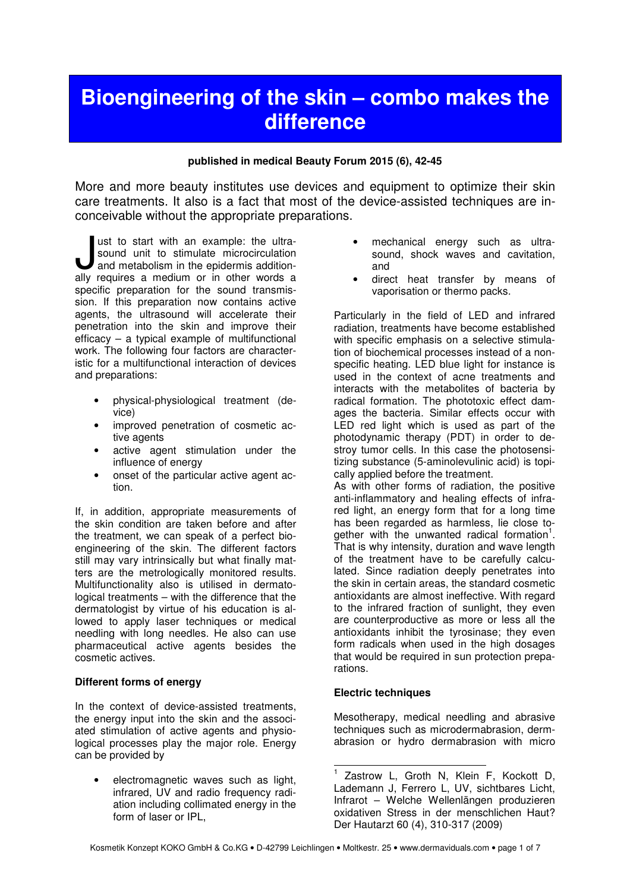# **Bioengineering of the skin – combo makes the difference**

## **published in medical Beauty Forum 2015 (6), 42-45**

More and more beauty institutes use devices and equipment to optimize their skin care treatments. It also is a fact that most of the device-assisted techniques are inconceivable without the appropriate preparations.

ust to start with an example: the ultrasound unit to stimulate microcirculation and metabolism in the epidermis additionust to start with an example: the ultra-<br>sound unit to stimulate microcirculation<br>ally requires a medium or in other words a specific preparation for the sound transmission. If this preparation now contains active agents, the ultrasound will accelerate their penetration into the skin and improve their efficacy – a typical example of multifunctional work. The following four factors are characteristic for a multifunctional interaction of devices and preparations:

- physical-physiological treatment (device)
- improved penetration of cosmetic active agents
- active agent stimulation under the influence of energy
- onset of the particular active agent action.

If, in addition, appropriate measurements of the skin condition are taken before and after the treatment, we can speak of a perfect bioengineering of the skin. The different factors still may vary intrinsically but what finally matters are the metrologically monitored results. Multifunctionality also is utilised in dermatological treatments – with the difference that the dermatologist by virtue of his education is allowed to apply laser techniques or medical needling with long needles. He also can use pharmaceutical active agents besides the cosmetic actives.

## **Different forms of energy**

In the context of device-assisted treatments, the energy input into the skin and the associated stimulation of active agents and physiological processes play the major role. Energy can be provided by

• electromagnetic waves such as light, infrared, UV and radio frequency radiation including collimated energy in the form of laser or IPL,

- mechanical energy such as ultrasound, shock waves and cavitation, and
- direct heat transfer by means of vaporisation or thermo packs.

Particularly in the field of LED and infrared radiation, treatments have become established with specific emphasis on a selective stimulation of biochemical processes instead of a nonspecific heating. LED blue light for instance is used in the context of acne treatments and interacts with the metabolites of bacteria by radical formation. The phototoxic effect damages the bacteria. Similar effects occur with LED red light which is used as part of the photodynamic therapy (PDT) in order to destroy tumor cells. In this case the photosensitizing substance (5-aminolevulinic acid) is topically applied before the treatment.

As with other forms of radiation, the positive anti-inflammatory and healing effects of infrared light, an energy form that for a long time has been regarded as harmless, lie close together with the unwanted radical formation<sup>1</sup>. That is why intensity, duration and wave length of the treatment have to be carefully calculated. Since radiation deeply penetrates into the skin in certain areas, the standard cosmetic antioxidants are almost ineffective. With regard to the infrared fraction of sunlight, they even are counterproductive as more or less all the antioxidants inhibit the tyrosinase; they even form radicals when used in the high dosages that would be required in sun protection preparations.

# **Electric techniques**

Mesotherapy, medical needling and abrasive techniques such as microdermabrasion, dermabrasion or hydro dermabrasion with micro

 $\overline{\phantom{a}}$ 1 Zastrow L, Groth N, Klein F, Kockott D, Lademann J, Ferrero L, UV, sichtbares Licht, Infrarot – Welche Wellenlängen produzieren oxidativen Stress in der menschlichen Haut? Der Hautarzt 60 (4), 310-317 (2009)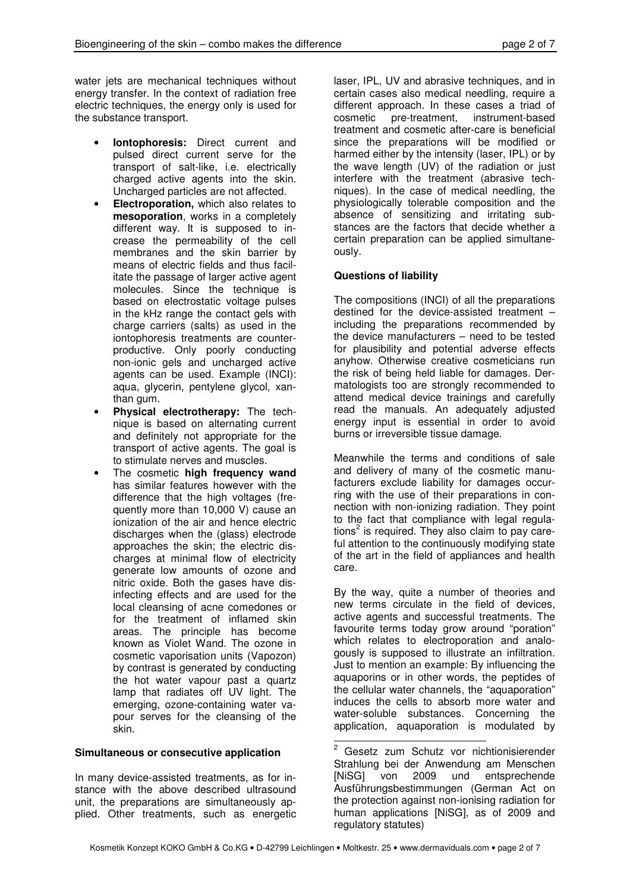water jets are mechanical techniques without energy transfer. In the context of radiation free electric techniques, the energy only is used for the substance transport.

- **Iontophoresis:** Direct current and pulsed direct current serve for the transport of salt-like, i.e. electrically charged active agents into the skin. Uncharged particles are not affected.
- **Electroporation,** which also relates to **mesoporation**, works in a completely different way. It is supposed to increase the permeability of the cell membranes and the skin barrier by means of electric fields and thus facilitate the passage of larger active agent molecules. Since the technique is based on electrostatic voltage pulses in the kHz range the contact gels with charge carriers (salts) as used in the iontophoresis treatments are counterproductive. Only poorly conducting non-ionic gels and uncharged active agents can be used. Example (INCI): aqua, glycerin, pentylene glycol, xanthan gum.
- **Physical electrotherapy:** The technique is based on alternating current and definitely not appropriate for the transport of active agents. The goal is to stimulate nerves and muscles.
- The cosmetic **high frequency wand** has similar features however with the difference that the high voltages (frequently more than 10,000 V) cause an ionization of the air and hence electric discharges when the (glass) electrode approaches the skin; the electric discharges at minimal flow of electricity generate low amounts of ozone and nitric oxide. Both the gases have disinfecting effects and are used for the local cleansing of acne comedones or for the treatment of inflamed skin areas. The principle has become known as Violet Wand. The ozone in cosmetic vaporisation units (Vapozon) by contrast is generated by conducting the hot water vapour past a quartz lamp that radiates off UV light. The emerging, ozone-containing water vapour serves for the cleansing of the skin.

## **Simultaneous or consecutive application**

In many device-assisted treatments, as for instance with the above described ultrasound unit, the preparations are simultaneously applied. Other treatments, such as energetic

laser, IPL, UV and abrasive techniques, and in certain cases also medical needling, require a different approach. In these cases a triad of cosmetic pre-treatment, instrument-based treatment and cosmetic after-care is beneficial since the preparations will be modified or harmed either by the intensity (laser, IPL) or by the wave length (UV) of the radiation or just interfere with the treatment (abrasive techniques). In the case of medical needling, the physiologically tolerable composition and the absence of sensitizing and irritating substances are the factors that decide whether a certain preparation can be applied simultaneously.

## **Questions of liability**

The compositions (INCI) of all the preparations destined for the device-assisted treatment – including the preparations recommended by the device manufacturers – need to be tested for plausibility and potential adverse effects anyhow. Otherwise creative cosmeticians run the risk of being held liable for damages. Dermatologists too are strongly recommended to attend medical device trainings and carefully read the manuals. An adequately adjusted energy input is essential in order to avoid burns or irreversible tissue damage.

Meanwhile the terms and conditions of sale and delivery of many of the cosmetic manufacturers exclude liability for damages occurring with the use of their preparations in connection with non-ionizing radiation. They point to the fact that compliance with legal regulations<sup>2</sup> is required. They also claim to pay careful attention to the continuously modifying state of the art in the field of appliances and health care.

By the way, quite a number of theories and new terms circulate in the field of devices, active agents and successful treatments. The favourite terms today grow around "poration" which relates to electroporation and analogously is supposed to illustrate an infiltration. Just to mention an example: By influencing the aquaporins or in other words, the peptides of the cellular water channels, the "aquaporation" induces the cells to absorb more water and water-soluble substances. Concerning the application, aquaporation is modulated by

<u>2</u><br><sup>2</sup> Gesetz zum Schutz vor nichtionisierender Strahlung bei der Anwendung am Menschen [NiSG] von 2009 und entsprechende Ausführungsbestimmungen (German Act on the protection against non-ionising radiation for human applications [NiSG], as of 2009 and regulatory statutes)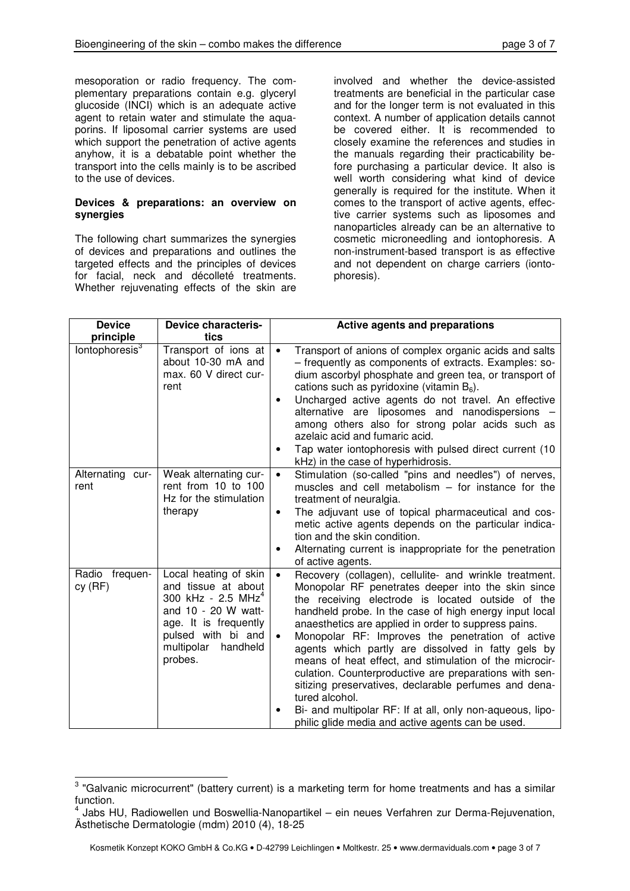mesoporation or radio frequency. The complementary preparations contain e.g. glyceryl glucoside (INCI) which is an adequate active agent to retain water and stimulate the aquaporins. If liposomal carrier systems are used which support the penetration of active agents anyhow, it is a debatable point whether the transport into the cells mainly is to be ascribed to the use of devices.

## **Devices & preparations: an overview on synergies**

The following chart summarizes the synergies of devices and preparations and outlines the targeted effects and the principles of devices for facial, neck and décolleté treatments. Whether rejuvenating effects of the skin are

involved and whether the device-assisted treatments are beneficial in the particular case and for the longer term is not evaluated in this context. A number of application details cannot be covered either. It is recommended to closely examine the references and studies in the manuals regarding their practicability before purchasing a particular device. It also is well worth considering what kind of device generally is required for the institute. When it comes to the transport of active agents, effective carrier systems such as liposomes and nanoparticles already can be an alternative to cosmetic microneedling and iontophoresis. A non-instrument-based transport is as effective and not dependent on charge carriers (iontophoresis).

| <b>Device</b>              | <b>Device characteris-</b>                                                                                                                                                      | <b>Active agents and preparations</b>                                                                                                                                                                                                                                                                                                                                                                                                                                                                                                                                                                                                                                                                                                    |
|----------------------------|---------------------------------------------------------------------------------------------------------------------------------------------------------------------------------|------------------------------------------------------------------------------------------------------------------------------------------------------------------------------------------------------------------------------------------------------------------------------------------------------------------------------------------------------------------------------------------------------------------------------------------------------------------------------------------------------------------------------------------------------------------------------------------------------------------------------------------------------------------------------------------------------------------------------------------|
| principle                  | tics                                                                                                                                                                            |                                                                                                                                                                                                                                                                                                                                                                                                                                                                                                                                                                                                                                                                                                                                          |
| lontophoresis <sup>3</sup> | Transport of ions at<br>about 10-30 mA and<br>max. 60 V direct cur-<br>rent                                                                                                     | Transport of anions of complex organic acids and salts<br>$\bullet$<br>- frequently as components of extracts. Examples: so-<br>dium ascorbyl phosphate and green tea, or transport of<br>cations such as pyridoxine (vitamin $B_6$ ).<br>Uncharged active agents do not travel. An effective<br>٠<br>alternative are liposomes and nanodispersions -<br>among others also for strong polar acids such as<br>azelaic acid and fumaric acid.<br>Tap water iontophoresis with pulsed direct current (10)<br>kHz) in the case of hyperhidrosis.                                                                                                                                                                                             |
| Alternating cur-<br>rent   | Weak alternating cur-<br>rent from 10 to 100<br>Hz for the stimulation<br>therapy                                                                                               | Stimulation (so-called "pins and needles") of nerves,<br>$\bullet$<br>muscles and cell metabolism $-$ for instance for the<br>treatment of neuralgia.<br>The adjuvant use of topical pharmaceutical and cos-<br>٠<br>metic active agents depends on the particular indica-<br>tion and the skin condition.<br>Alternating current is inappropriate for the penetration<br>of active agents.                                                                                                                                                                                                                                                                                                                                              |
| Radio frequen-<br>cy(RF)   | Local heating of skin<br>and tissue at about<br>300 kHz - 2.5 $MHz4$<br>and 10 - 20 W watt-<br>age. It is frequently<br>pulsed with bi and<br>multipolar<br>handheld<br>probes. | Recovery (collagen), cellulite- and wrinkle treatment.<br>$\bullet$<br>Monopolar RF penetrates deeper into the skin since<br>the receiving electrode is located outside of the<br>handheld probe. In the case of high energy input local<br>anaesthetics are applied in order to suppress pains.<br>Monopolar RF: Improves the penetration of active<br>$\bullet$<br>agents which partly are dissolved in fatty gels by<br>means of heat effect, and stimulation of the microcir-<br>culation. Counterproductive are preparations with sen-<br>sitizing preservatives, declarable perfumes and dena-<br>tured alcohol.<br>Bi- and multipolar RF: If at all, only non-aqueous, lipo-<br>philic glide media and active agents can be used. |

**EXELVENCE TO TE TO TE TO THE TO THE TO THE THE TO THE TO THE TO THE TO THE TO THE TO THE TO THE TO THE TO THE** <br>**B** "Galvanic microcurrent" (battery current) is a marketing term for home treatments and has a similar function.

<sup>4</sup> Jabs HU, Radiowellen und Boswellia-Nanopartikel – ein neues Verfahren zur Derma-Rejuvenation, Ästhetische Dermatologie (mdm) 2010 (4), 18-25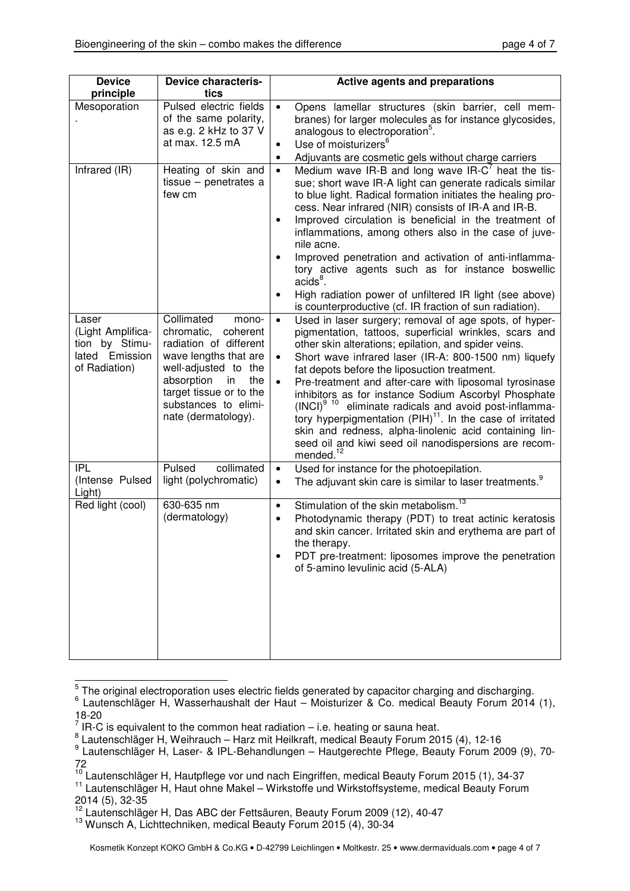| <b>Device</b><br>principle                                                      | <b>Device characteris-</b><br>tics                                                                                                                                                                                            | <b>Active agents and preparations</b>                                                                                                                                                                                                                                                                                                                                                                                                                                                                                                                                                                                                                                                                                                         |
|---------------------------------------------------------------------------------|-------------------------------------------------------------------------------------------------------------------------------------------------------------------------------------------------------------------------------|-----------------------------------------------------------------------------------------------------------------------------------------------------------------------------------------------------------------------------------------------------------------------------------------------------------------------------------------------------------------------------------------------------------------------------------------------------------------------------------------------------------------------------------------------------------------------------------------------------------------------------------------------------------------------------------------------------------------------------------------------|
| Mesoporation                                                                    | Pulsed electric fields<br>of the same polarity,<br>as e.g. 2 kHz to 37 V<br>at max. 12.5 mA                                                                                                                                   | Opens lamellar structures (skin barrier, cell mem-<br>$\bullet$<br>branes) for larger molecules as for instance glycosides,<br>analogous to electroporation <sup>5</sup> .<br>Use of moisturizers <sup>6</sup><br>$\bullet$                                                                                                                                                                                                                                                                                                                                                                                                                                                                                                                   |
| Infrared (IR)                                                                   | Heating of skin and<br>tissue $-$ penetrates a<br>few cm                                                                                                                                                                      | Adjuvants are cosmetic gels without charge carriers<br>٠<br>Medium wave IR-B and long wave IR- $C^7$ heat the tis-<br>$\bullet$<br>sue; short wave IR-A light can generate radicals similar<br>to blue light. Radical formation initiates the healing pro-<br>cess. Near infrared (NIR) consists of IR-A and IR-B.<br>Improved circulation is beneficial in the treatment of<br>$\bullet$<br>inflammations, among others also in the case of juve-<br>nile acne.<br>Improved penetration and activation of anti-inflamma-<br>$\bullet$<br>tory active agents such as for instance boswellic<br>$acids8$ .<br>High radiation power of unfiltered IR light (see above)<br>$\bullet$<br>is counterproductive (cf. IR fraction of sun radiation). |
| Laser<br>(Light Amplifica-<br>tion by Stimu-<br>lated Emission<br>of Radiation) | Collimated<br>mono-<br>chromatic,<br>coherent<br>radiation of different<br>wave lengths that are<br>well-adjusted to the<br>absorption<br>the<br>in<br>target tissue or to the<br>substances to elimi-<br>nate (dermatology). | Used in laser surgery; removal of age spots, of hyper-<br>$\bullet$<br>pigmentation, tattoos, superficial wrinkles, scars and<br>other skin alterations; epilation, and spider veins.<br>Short wave infrared laser (IR-A: 800-1500 nm) liquefy<br>fat depots before the liposuction treatment.<br>Pre-treatment and after-care with liposomal tyrosinase<br>inhibitors as for instance Sodium Ascorbyl Phosphate<br>(INCI) <sup>9</sup> <sup>10</sup> eliminate radicals and avoid post-inflamma-<br>tory hyperpigmentation (PIH) <sup>11</sup> . In the case of irritated<br>skin and redness, alpha-linolenic acid containing lin-<br>seed oil and kiwi seed oil nanodispersions are recom-<br>mended. <sup>12</sup>                        |
| <b>IPL</b><br>(Intense Pulsed<br>Light)                                         | collimated<br>Pulsed<br>light (polychromatic)                                                                                                                                                                                 | Used for instance for the photoepilation.<br>$\bullet$<br>The adjuvant skin care is similar to laser treatments. <sup>9</sup><br>$\bullet$                                                                                                                                                                                                                                                                                                                                                                                                                                                                                                                                                                                                    |
| Red light (cool)                                                                | 630-635 nm<br>(dermatology)                                                                                                                                                                                                   | Stimulation of the skin metabolism. <sup>13</sup><br>٠<br>Photodynamic therapy (PDT) to treat actinic keratosis<br>$\bullet$<br>and skin cancer. Irritated skin and erythema are part of<br>the therapy.<br>PDT pre-treatment: liposomes improve the penetration<br>of 5-amino levulinic acid (5-ALA)                                                                                                                                                                                                                                                                                                                                                                                                                                         |

5 The original electroporation uses electric fields generated by capacitor charging and discharging.

- 
- <sup>7</sup> IR-C is equivalent to the common heat radiation i.e. heating or sauna heat.<br><sup>8</sup> Lautenschläger H, Weihrauch Harz mit Heilkraft, medical Beauty Forum 2015 (4), 12-16

<sup>6</sup> Lautenschläger H, Wasserhaushalt der Haut – Moisturizer & Co. medical Beauty Forum 2014 (1), 18-20

<sup>9</sup> Lautenschläger H, Laser- & IPL-Behandlungen – Hautgerechte Pflege, Beauty Forum 2009 (9), 70- 72

 $10$  Lautenschläger H, Hautpflege vor und nach Eingriffen, medical Beauty Forum 2015 (1), 34-37

<sup>&</sup>lt;sup>11</sup> Lautenschläger H, Haut ohne Makel – Wirkstoffe und Wirkstoffsysteme, medical Beauty Forum 2014 (5), 32-35

<sup>&</sup>lt;sup>12</sup> Lautenschläger H, Das ABC der Fettsäuren, Beauty Forum 2009 (12), 40-47

<sup>13</sup> Wunsch A, Lichttechniken, medical Beauty Forum 2015 (4), 30-34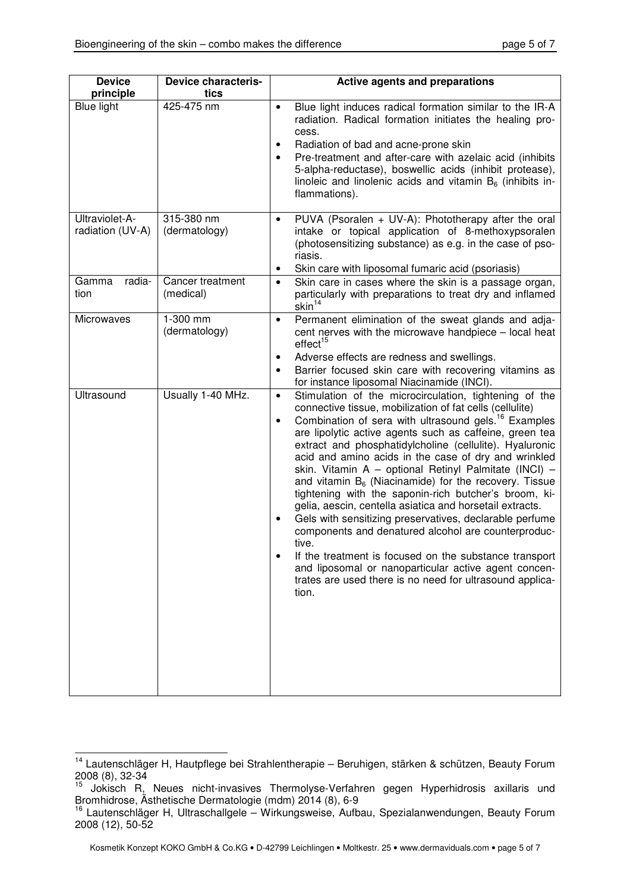| <b>Device</b><br>principle         | Device characteris-<br>tics   | <b>Active agents and preparations</b>                                                                                                                                                                                                                                                                                                                                                                                                                                                                                                                                                                                                                                                                                                                                                                                                                                                                                                                      |
|------------------------------------|-------------------------------|------------------------------------------------------------------------------------------------------------------------------------------------------------------------------------------------------------------------------------------------------------------------------------------------------------------------------------------------------------------------------------------------------------------------------------------------------------------------------------------------------------------------------------------------------------------------------------------------------------------------------------------------------------------------------------------------------------------------------------------------------------------------------------------------------------------------------------------------------------------------------------------------------------------------------------------------------------|
| Blue light                         | 425-475 nm                    | Blue light induces radical formation similar to the IR-A<br>$\bullet$<br>radiation. Radical formation initiates the healing pro-<br>cess.<br>Radiation of bad and acne-prone skin<br>٠<br>Pre-treatment and after-care with azelaic acid (inhibits<br>5-alpha-reductase), boswellic acids (inhibit protease),<br>linoleic and linolenic acids and vitamin $B_6$ (inhibits in-<br>flammations).                                                                                                                                                                                                                                                                                                                                                                                                                                                                                                                                                             |
| Ultraviolet-A-<br>radiation (UV-A) | 315-380 nm<br>(dermatology)   | PUVA (Psoralen + UV-A): Phototherapy after the oral<br>intake or topical application of 8-methoxypsoralen<br>(photosensitizing substance) as e.g. in the case of pso-<br>riasis.<br>Skin care with liposomal fumaric acid (psoriasis)<br>٠                                                                                                                                                                                                                                                                                                                                                                                                                                                                                                                                                                                                                                                                                                                 |
| radia-<br>Gamma<br>tion            | Cancer treatment<br>(medical) | Skin care in cases where the skin is a passage organ,<br>$\bullet$<br>particularly with preparations to treat dry and inflamed<br>skin <sup>14</sup>                                                                                                                                                                                                                                                                                                                                                                                                                                                                                                                                                                                                                                                                                                                                                                                                       |
| <b>Microwaves</b>                  | 1-300 mm<br>(dermatology)     | Permanent elimination of the sweat glands and adja-<br>$\bullet$<br>cent nerves with the microwave handpiece - local heat<br>effect <sup>15</sup><br>Adverse effects are redness and swellings.<br>$\bullet$<br>Barrier focused skin care with recovering vitamins as<br>$\bullet$<br>for instance liposomal Niacinamide (INCI).                                                                                                                                                                                                                                                                                                                                                                                                                                                                                                                                                                                                                           |
| Ultrasound                         | Usually 1-40 MHz.             | Stimulation of the microcirculation, tightening of the<br>$\bullet$<br>connective tissue, mobilization of fat cells (cellulite)<br>Combination of sera with ultrasound gels. <sup>16</sup> Examples<br>$\bullet$<br>are lipolytic active agents such as caffeine, green tea<br>extract and phosphatidylcholine (cellulite). Hyaluronic<br>acid and amino acids in the case of dry and wrinkled<br>skin. Vitamin A - optional Retinyl Palmitate (INCI) -<br>and vitamin $B_6$ (Niacinamide) for the recovery. Tissue<br>tightening with the saponin-rich butcher's broom, ki-<br>gelia, aescin, centella asiatica and horsetail extracts.<br>Gels with sensitizing preservatives, declarable perfume<br>components and denatured alcohol are counterproduc-<br>tive.<br>If the treatment is focused on the substance transport<br>and liposomal or nanoparticular active agent concen-<br>trates are used there is no need for ultrasound applica-<br>tion. |

 $\overline{a}$ <sup>14</sup> Lautenschläger H, Hautpflege bei Strahlentherapie – Beruhigen, stärken & schützen, Beauty Forum  $2008(8), 32-34$ 

<sup>15</sup> Jokisch R, Neues nicht-invasives Thermolyse-Verfahren gegen Hyperhidrosis axillaris und Bromhidrose, Ästhetische Dermatologie (mdm) 2014 (8), 6-9

<sup>&</sup>lt;sup>16</sup> Lautenschläger H, Ultraschallgele – Wirkungsweise, Aufbau, Spezialanwendungen, Beauty Forum 2008 (12), 50-52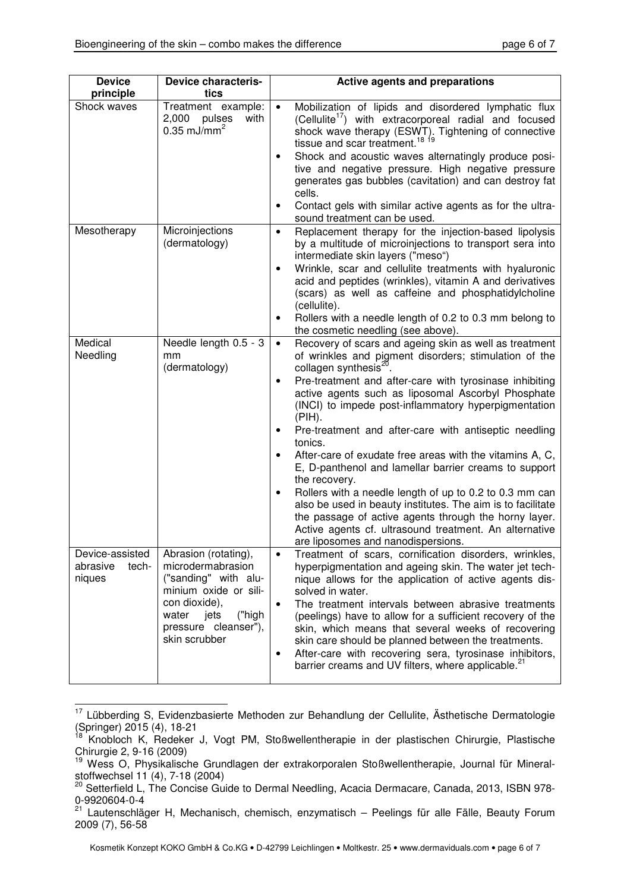| <b>Device</b><br>principle                     | <b>Device characteris-</b><br>tics                                                                                                                                              | <b>Active agents and preparations</b>                                                                                                                                                                                                                                                                                                                                                                                                                                                                                                                                                                                                                                                                                                                                                                                                                   |
|------------------------------------------------|---------------------------------------------------------------------------------------------------------------------------------------------------------------------------------|---------------------------------------------------------------------------------------------------------------------------------------------------------------------------------------------------------------------------------------------------------------------------------------------------------------------------------------------------------------------------------------------------------------------------------------------------------------------------------------------------------------------------------------------------------------------------------------------------------------------------------------------------------------------------------------------------------------------------------------------------------------------------------------------------------------------------------------------------------|
| Shock waves                                    | Treatment example:<br>2,000 pulses<br>with<br>$0.35$ mJ/mm <sup>2</sup>                                                                                                         | Mobilization of lipids and disordered lymphatic flux<br>$\bullet$<br>(Cellulite <sup>17</sup> ) with extracorporeal radial and focused<br>shock wave therapy (ESWT). Tightening of connective<br>tissue and scar treatment. <sup>18 19</sup><br>Shock and acoustic waves alternatingly produce posi-<br>tive and negative pressure. High negative pressure<br>generates gas bubbles (cavitation) and can destroy fat<br>cells.<br>Contact gels with similar active agents as for the ultra-<br>٠<br>sound treatment can be used.                                                                                                                                                                                                                                                                                                                        |
| Mesotherapy                                    | Microinjections<br>(dermatology)                                                                                                                                                | Replacement therapy for the injection-based lipolysis<br>$\bullet$<br>by a multitude of microinjections to transport sera into<br>intermediate skin layers ("meso")<br>Wrinkle, scar and cellulite treatments with hyaluronic<br>acid and peptides (wrinkles), vitamin A and derivatives<br>(scars) as well as caffeine and phosphatidylcholine<br>(cellulite).<br>Rollers with a needle length of 0.2 to 0.3 mm belong to<br>the cosmetic needling (see above).                                                                                                                                                                                                                                                                                                                                                                                        |
| Medical<br>Needling                            | Needle length 0.5 - 3<br>mm<br>(dermatology)                                                                                                                                    | Recovery of scars and ageing skin as well as treatment<br>$\bullet$<br>of wrinkles and pigment disorders; stimulation of the<br>collagen synthesis <sup>20</sup> .<br>Pre-treatment and after-care with tyrosinase inhibiting<br>active agents such as liposomal Ascorbyl Phosphate<br>(INCI) to impede post-inflammatory hyperpigmentation<br>(PIH).<br>Pre-treatment and after-care with antiseptic needling<br>٠<br>tonics.<br>After-care of exudate free areas with the vitamins A, C,<br>E, D-panthenol and lamellar barrier creams to support<br>the recovery.<br>Rollers with a needle length of up to 0.2 to 0.3 mm can<br>also be used in beauty institutes. The aim is to facilitate<br>the passage of active agents through the horny layer.<br>Active agents cf. ultrasound treatment. An alternative<br>are liposomes and nanodispersions. |
| Device-assisted<br>abrasive<br>tech-<br>niques | Abrasion (rotating),<br>microdermabrasion<br>("sanding" with alu-<br>minium oxide or sili-<br>con dioxide),<br>("high<br>water<br>jets<br>pressure cleanser"),<br>skin scrubber | Treatment of scars, cornification disorders, wrinkles,<br>$\bullet$<br>hyperpigmentation and ageing skin. The water jet tech-<br>nique allows for the application of active agents dis-<br>solved in water.<br>The treatment intervals between abrasive treatments<br>(peelings) have to allow for a sufficient recovery of the<br>skin, which means that several weeks of recovering<br>skin care should be planned between the treatments.<br>After-care with recovering sera, tyrosinase inhibitors,<br>٠<br>barrier creams and UV filters, where applicable. <sup>21</sup>                                                                                                                                                                                                                                                                          |

 $\overline{a}$ <sup>17</sup> Lübberding S, Evidenzbasierte Methoden zur Behandlung der Cellulite, Ästhetische Dermatologie (Springer) 2015 (4), 18-21

<sup>18</sup> Knobloch K, Redeker J, Vogt PM, Stoßwellentherapie in der plastischen Chirurgie, Plastische Chirurgie 2, 9-16 (2009)

<sup>&</sup>lt;sup>19</sup> Wess O, Physikalische Grundlagen der extrakorporalen Stoßwellentherapie, Journal für Mineralstoffwechsel 11 (4), 7-18 (2004)

<sup>&</sup>lt;sup>20</sup> Setterfield L, The Concise Guide to Dermal Needling, Acacia Dermacare, Canada, 2013, ISBN 978-0-9920604-0-4

<sup>&</sup>lt;sup>21</sup> Lautenschläger H, Mechanisch, chemisch, enzymatisch – Peelings für alle Fälle, Beauty Forum 2009 (7), 56-58